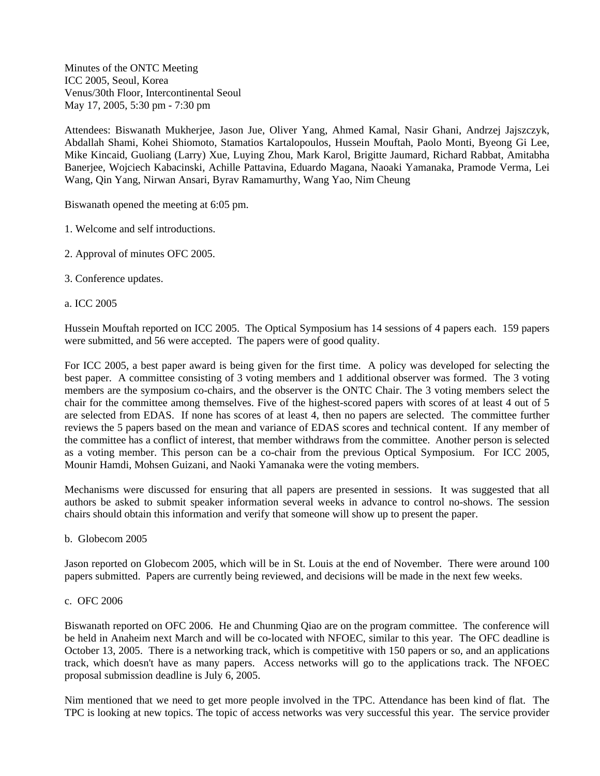Minutes of the ONTC Meeting ICC 2005, Seoul, Korea Venus/30th Floor, Intercontinental Seoul May 17, 2005, 5:30 pm - 7:30 pm

Attendees: Biswanath Mukherjee, Jason Jue, Oliver Yang, Ahmed Kamal, Nasir Ghani, Andrzej Jajszczyk, Abdallah Shami, Kohei Shiomoto, Stamatios Kartalopoulos, Hussein Mouftah, Paolo Monti, Byeong Gi Lee, Mike Kincaid, Guoliang (Larry) Xue, Luying Zhou, Mark Karol, Brigitte Jaumard, Richard Rabbat, Amitabha Banerjee, Wojciech Kabacinski, Achille Pattavina, Eduardo Magana, Naoaki Yamanaka, Pramode Verma, Lei Wang, Qin Yang, Nirwan Ansari, Byrav Ramamurthy, Wang Yao, Nim Cheung

Biswanath opened the meeting at 6:05 pm.

- 1. Welcome and self introductions.
- 2. Approval of minutes OFC 2005.
- 3. Conference updates.

### a. ICC 2005

Hussein Mouftah reported on ICC 2005. The Optical Symposium has 14 sessions of 4 papers each. 159 papers were submitted, and 56 were accepted. The papers were of good quality.

For ICC 2005, a best paper award is being given for the first time. A policy was developed for selecting the best paper. A committee consisting of 3 voting members and 1 additional observer was formed. The 3 voting members are the symposium co-chairs, and the observer is the ONTC Chair. The 3 voting members select the chair for the committee among themselves. Five of the highest-scored papers with scores of at least 4 out of 5 are selected from EDAS. If none has scores of at least 4, then no papers are selected. The committee further reviews the 5 papers based on the mean and variance of EDAS scores and technical content. If any member of the committee has a conflict of interest, that member withdraws from the committee. Another person is selected as a voting member. This person can be a co-chair from the previous Optical Symposium. For ICC 2005, Mounir Hamdi, Mohsen Guizani, and Naoki Yamanaka were the voting members.

Mechanisms were discussed for ensuring that all papers are presented in sessions. It was suggested that all authors be asked to submit speaker information several weeks in advance to control no-shows. The session chairs should obtain this information and verify that someone will show up to present the paper.

b. Globecom 2005

Jason reported on Globecom 2005, which will be in St. Louis at the end of November. There were around 100 papers submitted. Papers are currently being reviewed, and decisions will be made in the next few weeks.

### c. OFC 2006

Biswanath reported on OFC 2006. He and Chunming Qiao are on the program committee. The conference will be held in Anaheim next March and will be co-located with NFOEC, similar to this year. The OFC deadline is October 13, 2005. There is a networking track, which is competitive with 150 papers or so, and an applications track, which doesn't have as many papers. Access networks will go to the applications track. The NFOEC proposal submission deadline is July 6, 2005.

Nim mentioned that we need to get more people involved in the TPC. Attendance has been kind of flat. The TPC is looking at new topics. The topic of access networks was very successful this year. The service provider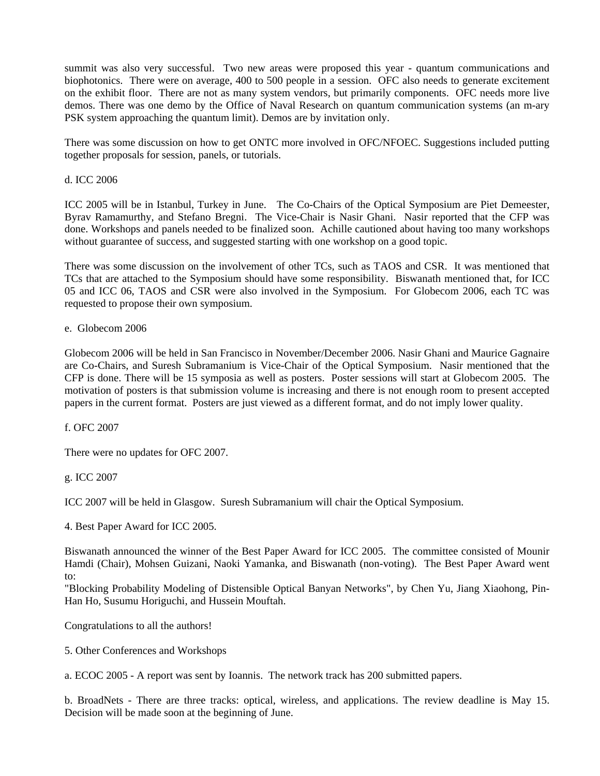summit was also very successful. Two new areas were proposed this year - quantum communications and biophotonics. There were on average, 400 to 500 people in a session. OFC also needs to generate excitement on the exhibit floor. There are not as many system vendors, but primarily components. OFC needs more live demos. There was one demo by the Office of Naval Research on quantum communication systems (an m-ary PSK system approaching the quantum limit). Demos are by invitation only.

There was some discussion on how to get ONTC more involved in OFC/NFOEC. Suggestions included putting together proposals for session, panels, or tutorials.

## d. ICC 2006

ICC 2005 will be in Istanbul, Turkey in June. The Co-Chairs of the Optical Symposium are Piet Demeester, Byrav Ramamurthy, and Stefano Bregni. The Vice-Chair is Nasir Ghani. Nasir reported that the CFP was done. Workshops and panels needed to be finalized soon. Achille cautioned about having too many workshops without guarantee of success, and suggested starting with one workshop on a good topic.

There was some discussion on the involvement of other TCs, such as TAOS and CSR. It was mentioned that TCs that are attached to the Symposium should have some responsibility. Biswanath mentioned that, for ICC 05 and ICC 06, TAOS and CSR were also involved in the Symposium. For Globecom 2006, each TC was requested to propose their own symposium.

## e. Globecom 2006

Globecom 2006 will be held in San Francisco in November/December 2006. Nasir Ghani and Maurice Gagnaire are Co-Chairs, and Suresh Subramanium is Vice-Chair of the Optical Symposium. Nasir mentioned that the CFP is done. There will be 15 symposia as well as posters. Poster sessions will start at Globecom 2005. The motivation of posters is that submission volume is increasing and there is not enough room to present accepted papers in the current format. Posters are just viewed as a different format, and do not imply lower quality.

f. OFC 2007

There were no updates for OFC 2007.

# g. ICC 2007

ICC 2007 will be held in Glasgow. Suresh Subramanium will chair the Optical Symposium.

4. Best Paper Award for ICC 2005.

Biswanath announced the winner of the Best Paper Award for ICC 2005. The committee consisted of Mounir Hamdi (Chair), Mohsen Guizani, Naoki Yamanka, and Biswanath (non-voting). The Best Paper Award went to:

"Blocking Probability Modeling of Distensible Optical Banyan Networks", by Chen Yu, Jiang Xiaohong, Pin-Han Ho, Susumu Horiguchi, and Hussein Mouftah.

Congratulations to all the authors!

5. Other Conferences and Workshops

a. ECOC 2005 - A report was sent by Ioannis. The network track has 200 submitted papers.

b. BroadNets - There are three tracks: optical, wireless, and applications. The review deadline is May 15. Decision will be made soon at the beginning of June.